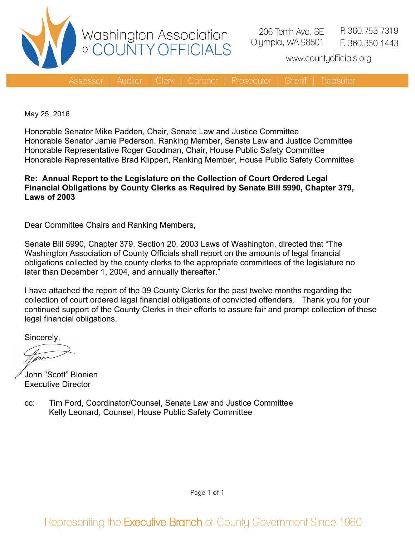

www.countyofficials.org

**Treasurer** 

May 25, 2016

Honorable Senator Mike Padden, Chair, Senate Law and Justice Committee Honorable Senator Jamie Pederson. Ranking Member, Senate Law and Justice Committee Honorable Representative Roger Goodman, Chair, House Public Safety Committee Honorable Representative Brad Klippert, Ranking Member, House Public Safety Committee

#### **Re: Annual Report to the Legislature on the Collection of Court Ordered Legal Financial Obligations by County Clerks as Required by Senate Bill 5990, Chapter 379, Laws of 2003**

Dear Committee Chairs and Ranking Members,

Senate Bill 5990, Chapter 379, Section 20, 2003 Laws of Washington, directed that "The Washington Association of County Officials shall report on the amounts of legal financial obligations collected by the county clerks to the appropriate committees of the legislature no later than December 1, 2004, and annually thereafter."

I have attached the report of the 39 County Clerks for the past twelve months regarding the collection of court ordered legal financial obligations of convicted offenders. Thank you for your continued support of the County Clerks in their efforts to assure fair and prompt collection of these legal financial obligations.

Sincerely,

John "Scott" Blonien Executive Director

cc: Tim Ford, Coordinator/Counsel, Senate Law and Justice Committee Kelly Leonard, Counsel, House Public Safety Committee

Page 1 of 1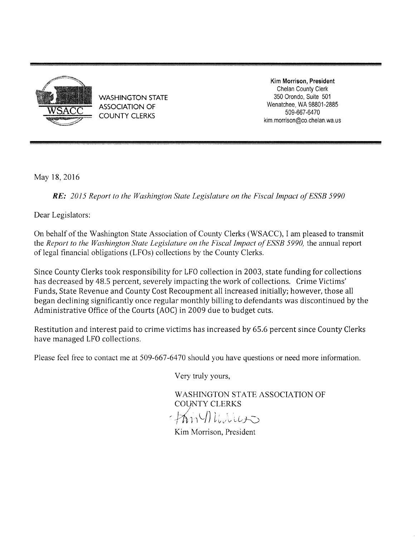

**WASHINGTON STATE ASSOCIATION OF COUNTY CLERKS** 

Kim Morrison, President Chelan County Clerk 350 Orondo, Suite 501 Wenatchee, WA 98801-2885 509-667-6470 kim.morrison@co.chelan.wa.us

May 18, 2016

**RE:** 2015 Report to the Washington State Legislature on the Fiscal Impact of ESSB 5990

Dear Legislators:

On behalf of the Washington State Association of County Clerks (WSACC), I am pleased to transmit the Report to the Washington State Legislature on the Fiscal Impact of ESSB 5990, the annual report of legal financial obligations (LFOs) collections by the County Clerks.

Since County Clerks took responsibility for LFO collection in 2003, state funding for collections has decreased by 48.5 percent, severely impacting the work of collections. Crime Victims' Funds, State Revenue and County Cost Recoupment all increased initially; however, those all began declining significantly once regular monthly billing to defendants was discontinued by the Administrative Office of the Courts (AOC) in 2009 due to budget cuts.

Restitution and interest paid to crime victims has increased by 65.6 percent since County Clerks have managed LFO collections.

Please feel free to contact me at 509-667-6470 should you have questions or need more information.

Very truly yours,

WASHINGTON STATE ASSOCIATION OF **COUNTY CLERKS** 

 $\gamma$ m $\eta$ liniuss

Kim Morrison, President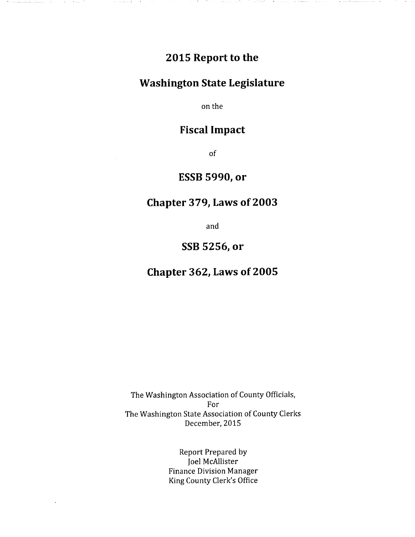# 2015 Report to the

 $\sim 1000$ 

المتحاف والأمعين وليتحدث

### **Washington State Legislature**

on the

## **Fiscal Impact**

of

## ESSB 5990, or

### Chapter 379, Laws of 2003

and

#### SSB 5256, or

### Chapter 362, Laws of 2005

The Washington Association of County Officials, For The Washington State Association of County Clerks December, 2015

> **Report Prepared by** Joel McAllister **Finance Division Manager** King County Clerk's Office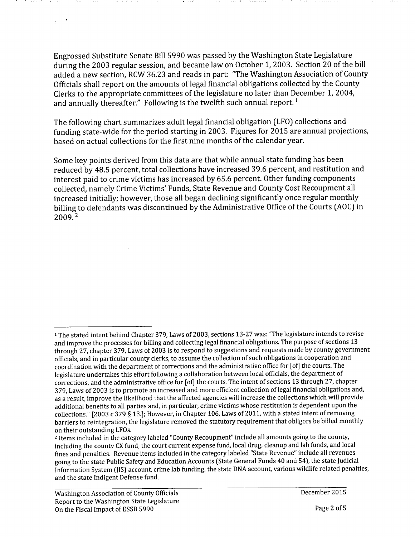Engrossed Substitute Senate Bill 5990 was passed by the Washington State Legislature during the 2003 regular session, and became law on October 1, 2003. Section 20 of the bill added a new section, RCW 36.23 and reads in part: "The Washington Association of County Officials shall report on the amounts of legal financial obligations collected by the County Clerks to the appropriate committees of the legislature no later than December 1, 2004, and annually thereafter." Following is the twelfth such annual report.<sup>1</sup>

The following chart summarizes adult legal financial obligation (LFO) collections and funding state-wide for the period starting in 2003. Figures for 2015 are annual projections, based on actual collections for the first nine months of the calendar year.

Some key points derived from this data are that while annual state funding has been reduced by 48.5 percent, total collections have increased 39.6 percent, and restitution and interest paid to crime victims has increased by 65.6 percent. Other funding components collected, namely Crime Victims' Funds, State Revenue and County Cost Recoupment all increased initially; however, those all began declining significantly once regular monthly billing to defendants was discontinued by the Administrative Office of the Courts (AOC) in  $2009.<sup>2</sup>$ 

 $1-\delta$ 

<sup>&</sup>lt;sup>1</sup> The stated intent behind Chapter 379, Laws of 2003, sections 13-27 was: "The legislature intends to revise and improve the processes for billing and collecting legal financial obligations. The purpose of sections 13 through 27, chapter 379, Laws of 2003 is to respond to suggestions and requests made by county government officials, and in particular county clerks, to assume the collection of such obligations in cooperation and coordination with the department of corrections and the administrative office for [of] the courts. The legislature undertakes this effort following a collaboration between local officials, the department of corrections, and the administrative office for [of] the courts. The intent of sections 13 through 27, chapter 379, Laws of 2003 is to promote an increased and more efficient collection of legal financial obligations and, as a result, improve the likelihood that the affected agencies will increase the collections which will provide additional benefits to all parties and, in particular, crime victims whose restitution is dependent upon the collections." [2003 c 379 § 13.]; However, in Chapter 106, Laws of 2011, with a stated intent of removing barriers to reintegration, the legislature removed the statutory requirement that obligors be billed monthly on their outstanding LFOs.

<sup>&</sup>lt;sup>2</sup> Items included in the category labeled "County Recoupment" include all amounts going to the county, including the county CX fund, the court current expense fund, local drug, cleanup and lab funds, and local fines and penalties. Revenue items included in the category labeled "State Revenue" include all revenues going to the state Public Safety and Education Accounts (State General Funds 40 and 54), the state Judicial Information System (IIS) account, crime lab funding, the state DNA account, various wildlife related penalties, and the state Indigent Defense fund.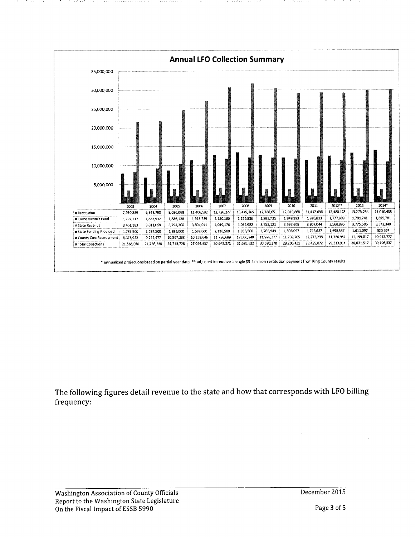

The following figures detail revenue to the state and how that corresponds with LFO billing frequency: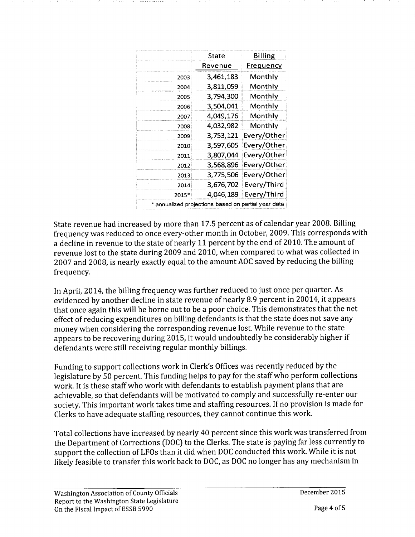|                                                     | State     | <b>Billing</b>   |
|-----------------------------------------------------|-----------|------------------|
|                                                     | Revenue   | <b>Frequency</b> |
| 2003                                                | 3,461,183 | Monthly          |
| 2004                                                | 3,811,059 | Monthly          |
| 2005                                                | 3,794,300 | Monthly          |
| 2006                                                | 3,504,041 | Monthly          |
| 2007                                                | 4,049,176 | Monthly          |
| 2008                                                | 4,032,982 | Monthly          |
| 2009                                                | 3,753,121 | Every/Other      |
| 2010                                                | 3,597,605 | Every/Other      |
| 2011                                                | 3,807,044 | Every/Other      |
| 2012                                                | 3,568,896 | Every/Other      |
| 2013                                                | 3,775,506 | Every/Other      |
| 2014                                                | 3,676,702 | Every/Third      |
| 2015*                                               | 4,046,189 | Every/Third      |
| * annualized projections based on partial year data |           |                  |

State revenue had increased by more than 17.5 percent as of calendar year 2008. Billing frequency was reduced to once every-other month in October, 2009. This corresponds with a decline in revenue to the state of nearly 11 percent by the end of 2010. The amount of revenue lost to the state during 2009 and 2010, when compared to what was collected in 2007 and 2008, is nearly exactly equal to the amount AOC saved by reducing the billing frequency.

In April, 2014, the billing frequency was further reduced to just once per quarter. As evidenced by another decline in state revenue of nearly 8.9 percent in 20014, it appears that once again this will be borne out to be a poor choice. This demonstrates that the net effect of reducing expenditures on billing defendants is that the state does not save any money when considering the corresponding revenue lost. While revenue to the state appears to be recovering during 2015, it would undoubtedly be considerably higher if defendants were still receiving regular monthly billings.

Funding to support collections work in Clerk's Offices was recently reduced by the legislature by 50 percent. This funding helps to pay for the staff who perform collections work. It is these staff who work with defendants to establish payment plans that are achievable, so that defendants will be motivated to comply and successfully re-enter our society. This important work takes time and staffing resources. If no provision is made for Clerks to have adequate staffing resources, they cannot continue this work.

Total collections have increased by nearly 40 percent since this work was transferred from the Department of Corrections (DOC) to the Clerks. The state is paying far less currently to support the collection of LFOs than it did when DOC conducted this work. While it is not likely feasible to transfer this work back to DOC, as DOC no longer has any mechanism in